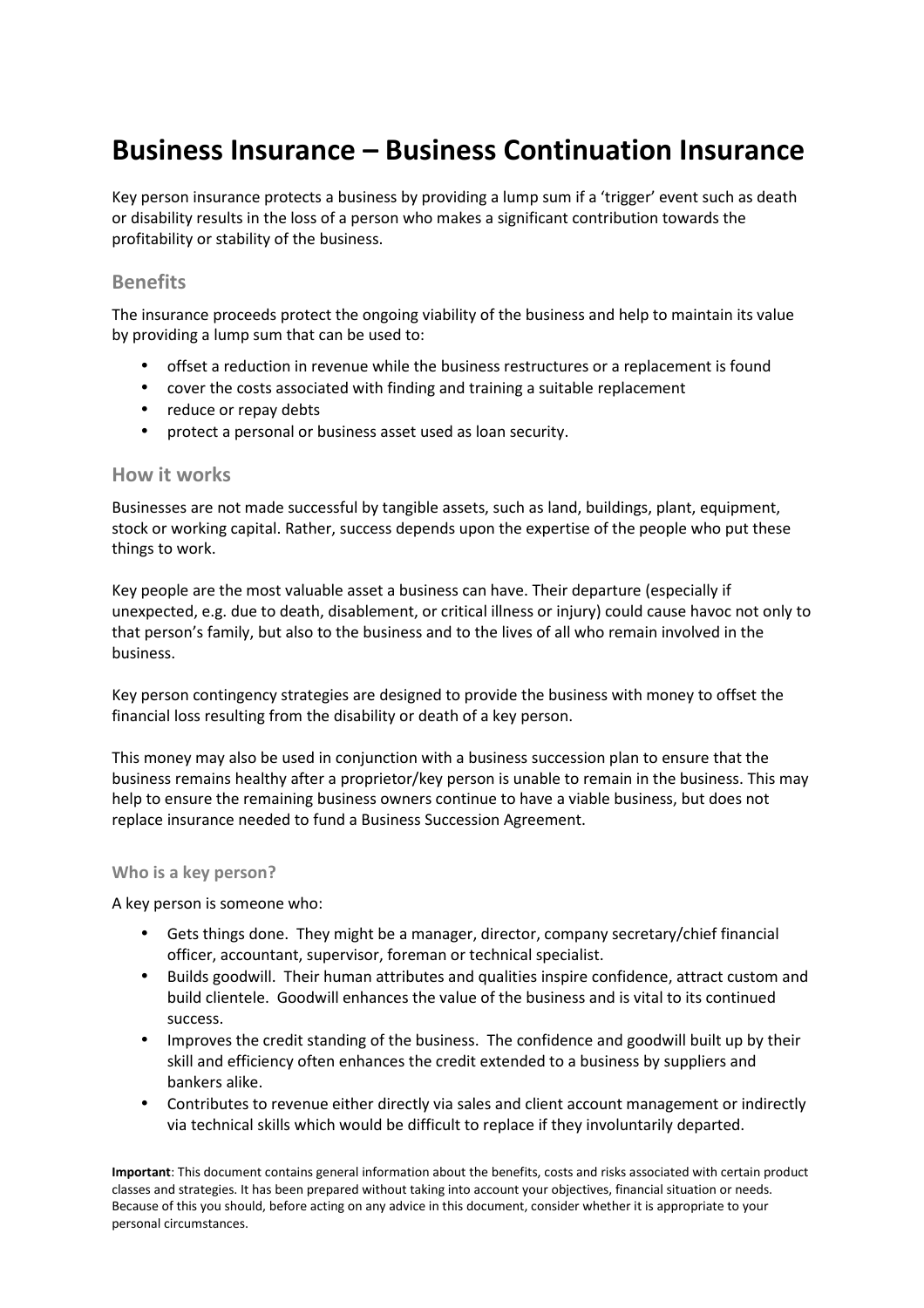# **Business Insurance – Business Continuation Insurance**

Key person insurance protects a business by providing a lump sum if a 'trigger' event such as death or disability results in the loss of a person who makes a significant contribution towards the profitability or stability of the business.

## **Benefits**

The insurance proceeds protect the ongoing viability of the business and help to maintain its value by providing a lump sum that can be used to:

- offset a reduction in revenue while the business restructures or a replacement is found
- cover the costs associated with finding and training a suitable replacement
- reduce or repay debts
- protect a personal or business asset used as loan security.

## **How it works**

Businesses are not made successful by tangible assets, such as land, buildings, plant, equipment, stock or working capital. Rather, success depends upon the expertise of the people who put these things to work.

Key people are the most valuable asset a business can have. Their departure (especially if unexpected, e.g. due to death, disablement, or critical illness or injury) could cause havoc not only to that person's family, but also to the business and to the lives of all who remain involved in the business.

Key person contingency strategies are designed to provide the business with money to offset the financial loss resulting from the disability or death of a key person.

This money may also be used in conjunction with a business succession plan to ensure that the business remains healthy after a proprietor/key person is unable to remain in the business. This may help to ensure the remaining business owners continue to have a viable business, but does not replace insurance needed to fund a Business Succession Agreement.

#### **Who is a key person?**

A key person is someone who:

- Gets things done. They might be a manager, director, company secretary/chief financial officer, accountant, supervisor, foreman or technical specialist.
- Builds goodwill. Their human attributes and qualities inspire confidence, attract custom and build clientele. Goodwill enhances the value of the business and is vital to its continued success.
- Improves the credit standing of the business. The confidence and goodwill built up by their skill and efficiency often enhances the credit extended to a business by suppliers and bankers alike.
- Contributes to revenue either directly via sales and client account management or indirectly via technical skills which would be difficult to replace if they involuntarily departed.

**Important**: This document contains general information about the benefits, costs and risks associated with certain product classes and strategies. It has been prepared without taking into account your objectives, financial situation or needs. Because of this you should, before acting on any advice in this document, consider whether it is appropriate to your personal circumstances.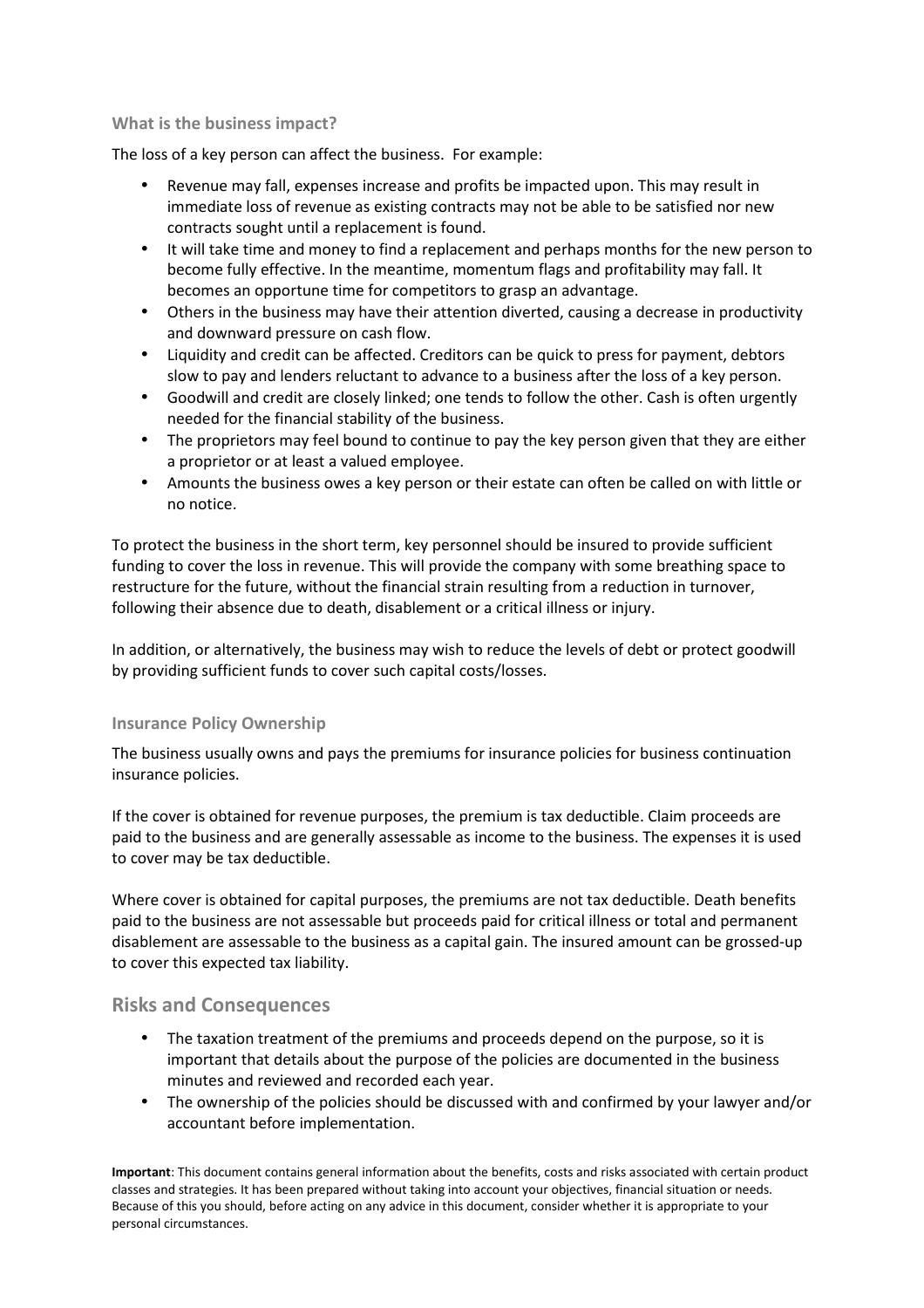#### **What is the business impact?**

The loss of a key person can affect the business. For example:

- Revenue may fall, expenses increase and profits be impacted upon. This may result in immediate loss of revenue as existing contracts may not be able to be satisfied nor new contracts sought until a replacement is found.
- It will take time and money to find a replacement and perhaps months for the new person to become fully effective. In the meantime, momentum flags and profitability may fall. It becomes an opportune time for competitors to grasp an advantage.
- Others in the business may have their attention diverted, causing a decrease in productivity and downward pressure on cash flow.
- Liquidity and credit can be affected. Creditors can be quick to press for payment, debtors slow to pay and lenders reluctant to advance to a business after the loss of a key person.
- Goodwill and credit are closely linked; one tends to follow the other. Cash is often urgently needed for the financial stability of the business.
- The proprietors may feel bound to continue to pay the key person given that they are either a proprietor or at least a valued employee.
- Amounts the business owes a key person or their estate can often be called on with little or no notice.

To protect the business in the short term, key personnel should be insured to provide sufficient funding to cover the loss in revenue. This will provide the company with some breathing space to restructure for the future, without the financial strain resulting from a reduction in turnover, following their absence due to death, disablement or a critical illness or injury.

In addition, or alternatively, the business may wish to reduce the levels of debt or protect goodwill by providing sufficient funds to cover such capital costs/losses.

#### **Insurance Policy Ownership**

The business usually owns and pays the premiums for insurance policies for business continuation insurance policies.

If the cover is obtained for revenue purposes, the premium is tax deductible. Claim proceeds are paid to the business and are generally assessable as income to the business. The expenses it is used to cover may be tax deductible.

Where cover is obtained for capital purposes, the premiums are not tax deductible. Death benefits paid to the business are not assessable but proceeds paid for critical illness or total and permanent disablement are assessable to the business as a capital gain. The insured amount can be grossed-up to cover this expected tax liability.

## **Risks and Consequences**

- The taxation treatment of the premiums and proceeds depend on the purpose, so it is important that details about the purpose of the policies are documented in the business minutes and reviewed and recorded each year.
- The ownership of the policies should be discussed with and confirmed by your lawyer and/or accountant before implementation.

**Important**: This document contains general information about the benefits, costs and risks associated with certain product classes and strategies. It has been prepared without taking into account your objectives, financial situation or needs. Because of this you should, before acting on any advice in this document, consider whether it is appropriate to your personal circumstances.